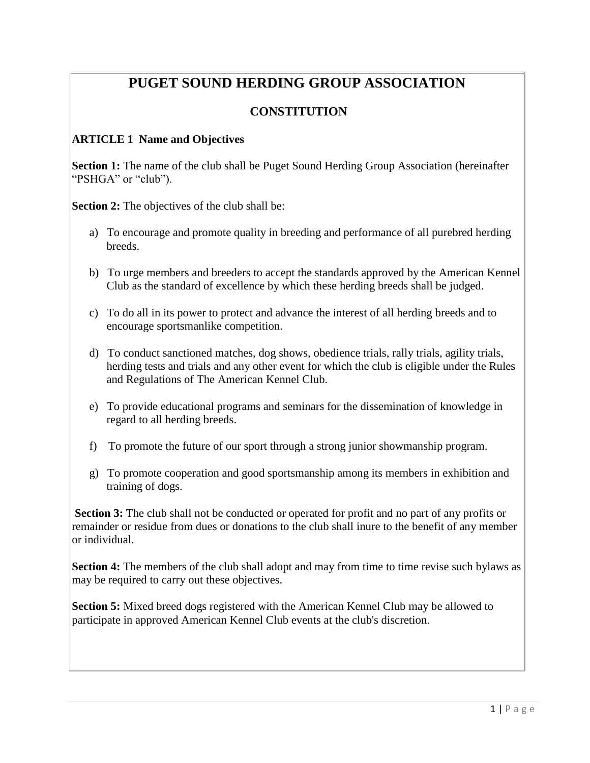# **PUGET SOUND HERDING GROUP ASSOCIATION**

# **CONSTITUTION**

#### **ARTICLE 1 Name and Objectives**

**Section 1:** The name of the club shall be Puget Sound Herding Group Association (hereinafter "PSHGA" or "club").

**Section 2:** The objectives of the club shall be:

- a) To encourage and promote quality in breeding and performance of all purebred herding breeds.
- b) To urge members and breeders to accept the standards approved by the American Kennel Club as the standard of excellence by which these herding breeds shall be judged.
- c) To do all in its power to protect and advance the interest of all herding breeds and to encourage sportsmanlike competition.
- d) To conduct sanctioned matches, dog shows, obedience trials, rally trials, agility trials, herding tests and trials and any other event for which the club is eligible under the Rules and Regulations of The American Kennel Club.
- e) To provide educational programs and seminars for the dissemination of knowledge in regard to all herding breeds.
- f) To promote the future of our sport through a strong junior showmanship program.
- g) To promote cooperation and good sportsmanship among its members in exhibition and training of dogs.

**Section 3:** The club shall not be conducted or operated for profit and no part of any profits or remainder or residue from dues or donations to the club shall inure to the benefit of any member or individual.

**Section 4:** The members of the club shall adopt and may from time to time revise such bylaws as may be required to carry out these objectives.

**Section 5:** Mixed breed dogs registered with the American Kennel Club may be allowed to participate in approved American Kennel Club events at the club's discretion.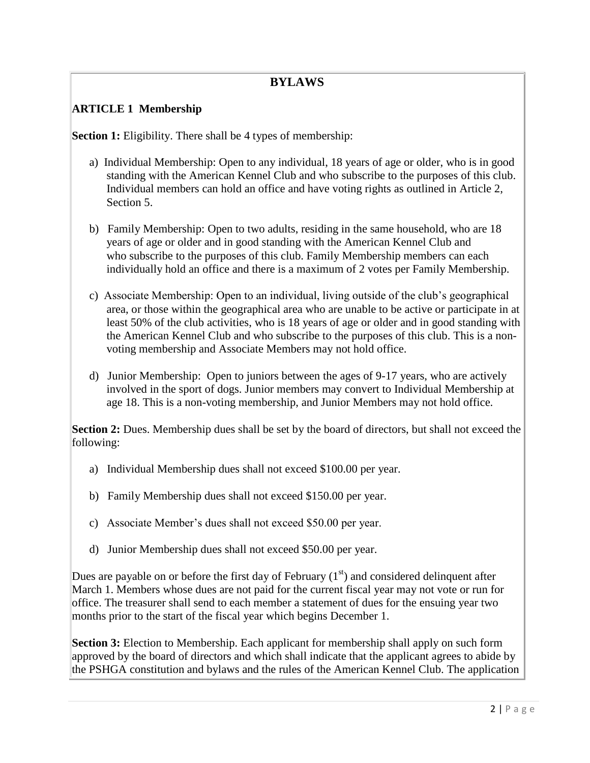# **BYLAWS**

## **ARTICLE 1 Membership**

**Section 1:** Eligibility. There shall be 4 types of membership:

- a) Individual Membership: Open to any individual, 18 years of age or older, who is in good standing with the American Kennel Club and who subscribe to the purposes of this club. Individual members can hold an office and have voting rights as outlined in Article 2, Section 5.
- b) Family Membership: Open to two adults, residing in the same household, who are 18 years of age or older and in good standing with the American Kennel Club and who subscribe to the purposes of this club. Family Membership members can each individually hold an office and there is a maximum of 2 votes per Family Membership.
- c) Associate Membership: Open to an individual, living outside of the club's geographical area, or those within the geographical area who are unable to be active or participate in at least 50% of the club activities, who is 18 years of age or older and in good standing with the American Kennel Club and who subscribe to the purposes of this club. This is a nonvoting membership and Associate Members may not hold office.
- d) Junior Membership: Open to juniors between the ages of 9-17 years, who are actively involved in the sport of dogs. Junior members may convert to Individual Membership at age 18. This is a non-voting membership, and Junior Members may not hold office.

**Section 2:** Dues. Membership dues shall be set by the board of directors, but shall not exceed the following:

- a) Individual Membership dues shall not exceed \$100.00 per year.
- b) Family Membership dues shall not exceed \$150.00 per year.
- c) Associate Member's dues shall not exceed \$50.00 per year.
- d) Junior Membership dues shall not exceed \$50.00 per year.

Dues are payable on or before the first day of February  $(1<sup>st</sup>)$  and considered delinquent after March 1. Members whose dues are not paid for the current fiscal year may not vote or run for office. The treasurer shall send to each member a statement of dues for the ensuing year two months prior to the start of the fiscal year which begins December 1.

**Section 3:** Election to Membership. Each applicant for membership shall apply on such form approved by the board of directors and which shall indicate that the applicant agrees to abide by the PSHGA constitution and bylaws and the rules of the American Kennel Club. The application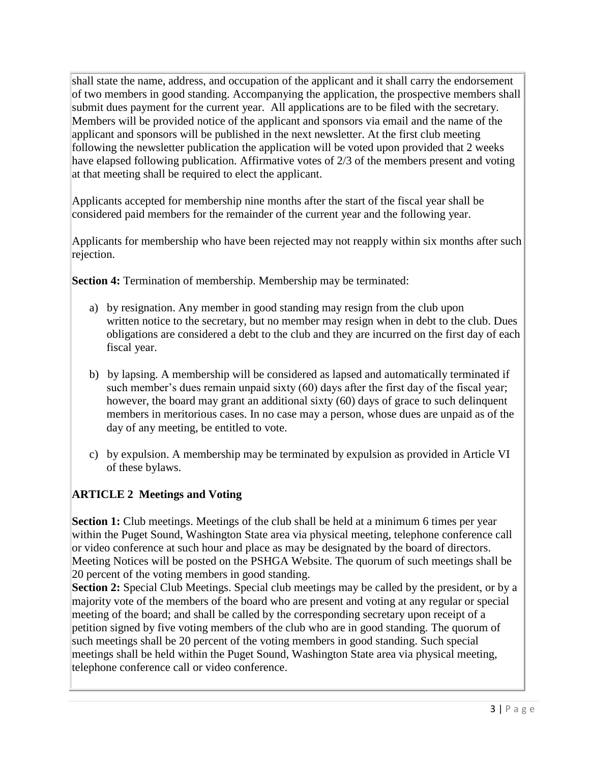shall state the name, address, and occupation of the applicant and it shall carry the endorsement of two members in good standing. Accompanying the application, the prospective members shall submit dues payment for the current year. All applications are to be filed with the secretary. Members will be provided notice of the applicant and sponsors via email and the name of the applicant and sponsors will be published in the next newsletter. At the first club meeting following the newsletter publication the application will be voted upon provided that 2 weeks have elapsed following publication. Affirmative votes of 2/3 of the members present and voting at that meeting shall be required to elect the applicant.

Applicants accepted for membership nine months after the start of the fiscal year shall be considered paid members for the remainder of the current year and the following year.

Applicants for membership who have been rejected may not reapply within six months after such rejection.

**Section 4:** Termination of membership. Membership may be terminated:

- a) by resignation. Any member in good standing may resign from the club upon written notice to the secretary, but no member may resign when in debt to the club. Dues obligations are considered a debt to the club and they are incurred on the first day of each fiscal year.
- b) by lapsing. A membership will be considered as lapsed and automatically terminated if such member's dues remain unpaid sixty (60) days after the first day of the fiscal year; however, the board may grant an additional sixty (60) days of grace to such delinquent members in meritorious cases. In no case may a person, whose dues are unpaid as of the day of any meeting, be entitled to vote.
- c) by expulsion. A membership may be terminated by expulsion as provided in Article VI of these bylaws.

# **ARTICLE 2 Meetings and Voting**

**Section 1:** Club meetings. Meetings of the club shall be held at a minimum 6 times per year within the Puget Sound, Washington State area via physical meeting, telephone conference call or video conference at such hour and place as may be designated by the board of directors. Meeting Notices will be posted on the PSHGA Website. The quorum of such meetings shall be 20 percent of the voting members in good standing.

**Section 2:** Special Club Meetings. Special club meetings may be called by the president, or by a majority vote of the members of the board who are present and voting at any regular or special meeting of the board; and shall be called by the corresponding secretary upon receipt of a petition signed by five voting members of the club who are in good standing. The quorum of such meetings shall be 20 percent of the voting members in good standing. Such special meetings shall be held within the Puget Sound, Washington State area via physical meeting, telephone conference call or video conference.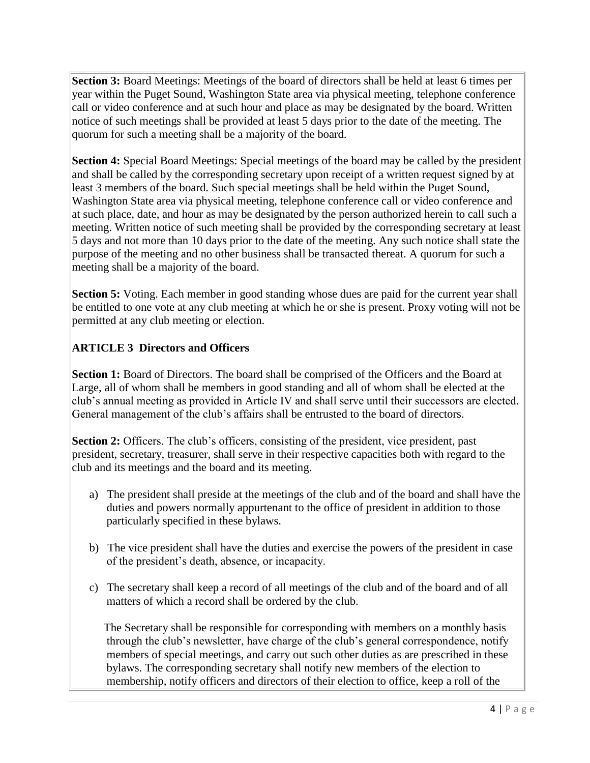**Section 3:** Board Meetings: Meetings of the board of directors shall be held at least 6 times per year within the Puget Sound, Washington State area via physical meeting, telephone conference call or video conference and at such hour and place as may be designated by the board. Written notice of such meetings shall be provided at least 5 days prior to the date of the meeting. The quorum for such a meeting shall be a majority of the board.

**Section 4:** Special Board Meetings: Special meetings of the board may be called by the president and shall be called by the corresponding secretary upon receipt of a written request signed by at least 3 members of the board. Such special meetings shall be held within the Puget Sound, Washington State area via physical meeting, telephone conference call or video conference and at such place, date, and hour as may be designated by the person authorized herein to call such a meeting. Written notice of such meeting shall be provided by the corresponding secretary at least 5 days and not more than 10 days prior to the date of the meeting. Any such notice shall state the purpose of the meeting and no other business shall be transacted thereat. A quorum for such a meeting shall be a majority of the board.

**Section 5:** Voting. Each member in good standing whose dues are paid for the current year shall be entitled to one vote at any club meeting at which he or she is present. Proxy voting will not be permitted at any club meeting or election.

# **ARTICLE 3 Directors and Officers**

**Section 1:** Board of Directors. The board shall be comprised of the Officers and the Board at Large, all of whom shall be members in good standing and all of whom shall be elected at the club's annual meeting as provided in Article IV and shall serve until their successors are elected. General management of the club's affairs shall be entrusted to the board of directors.

**Section 2:** Officers. The club's officers, consisting of the president, vice president, past president, secretary, treasurer, shall serve in their respective capacities both with regard to the club and its meetings and the board and its meeting.

- a) The president shall preside at the meetings of the club and of the board and shall have the duties and powers normally appurtenant to the office of president in addition to those particularly specified in these bylaws.
- b) The vice president shall have the duties and exercise the powers of the president in case of the president's death, absence, or incapacity.
- c) The secretary shall keep a record of all meetings of the club and of the board and of all matters of which a record shall be ordered by the club.

 The Secretary shall be responsible for corresponding with members on a monthly basis through the club's newsletter, have charge of the club's general correspondence, notify members of special meetings, and carry out such other duties as are prescribed in these bylaws. The corresponding secretary shall notify new members of the election to membership, notify officers and directors of their election to office, keep a roll of the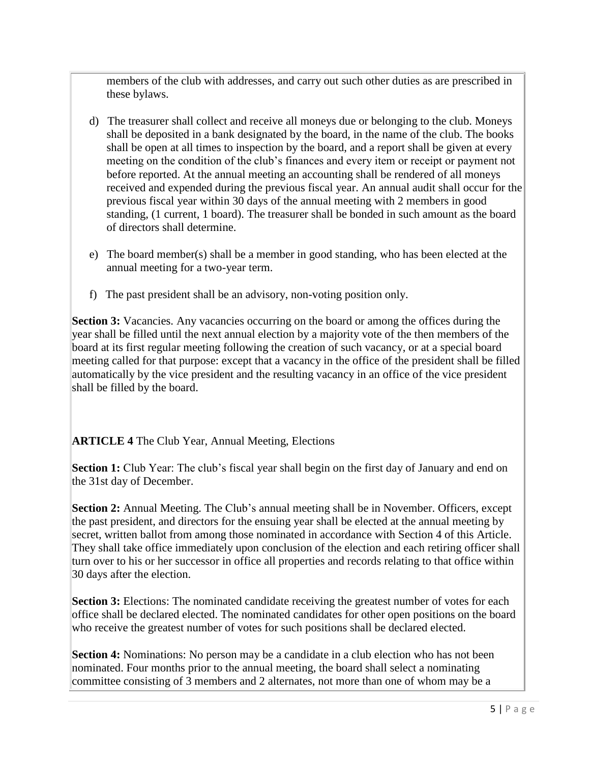members of the club with addresses, and carry out such other duties as are prescribed in these bylaws.

- d) The treasurer shall collect and receive all moneys due or belonging to the club. Moneys shall be deposited in a bank designated by the board, in the name of the club. The books shall be open at all times to inspection by the board, and a report shall be given at every meeting on the condition of the club's finances and every item or receipt or payment not before reported. At the annual meeting an accounting shall be rendered of all moneys received and expended during the previous fiscal year. An annual audit shall occur for the previous fiscal year within 30 days of the annual meeting with 2 members in good standing, (1 current, 1 board). The treasurer shall be bonded in such amount as the board of directors shall determine.
- e) The board member(s) shall be a member in good standing, who has been elected at the annual meeting for a two-year term.
- f) The past president shall be an advisory, non-voting position only.

**Section 3:** Vacancies. Any vacancies occurring on the board or among the offices during the year shall be filled until the next annual election by a majority vote of the then members of the board at its first regular meeting following the creation of such vacancy, or at a special board meeting called for that purpose: except that a vacancy in the office of the president shall be filled automatically by the vice president and the resulting vacancy in an office of the vice president shall be filled by the board.

### **ARTICLE 4** The Club Year, Annual Meeting, Elections

**Section 1:** Club Year: The club's fiscal year shall begin on the first day of January and end on the 31st day of December.

**Section 2:** Annual Meeting. The Club's annual meeting shall be in November. Officers, except the past president, and directors for the ensuing year shall be elected at the annual meeting by secret, written ballot from among those nominated in accordance with Section 4 of this Article. They shall take office immediately upon conclusion of the election and each retiring officer shall turn over to his or her successor in office all properties and records relating to that office within 30 days after the election.

**Section 3:** Elections: The nominated candidate receiving the greatest number of votes for each office shall be declared elected. The nominated candidates for other open positions on the board who receive the greatest number of votes for such positions shall be declared elected.

**Section 4:** Nominations: No person may be a candidate in a club election who has not been nominated. Four months prior to the annual meeting, the board shall select a nominating committee consisting of 3 members and 2 alternates, not more than one of whom may be a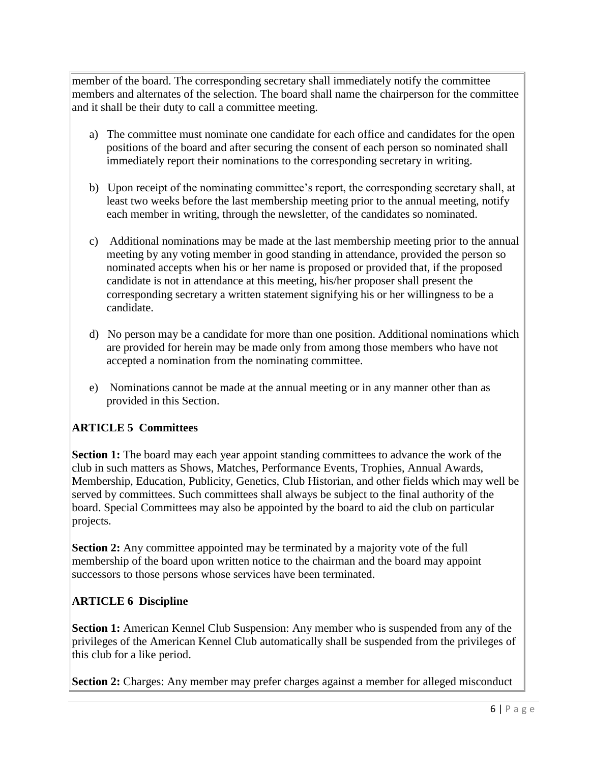member of the board. The corresponding secretary shall immediately notify the committee members and alternates of the selection. The board shall name the chairperson for the committee and it shall be their duty to call a committee meeting.

- a) The committee must nominate one candidate for each office and candidates for the open positions of the board and after securing the consent of each person so nominated shall immediately report their nominations to the corresponding secretary in writing.
- b) Upon receipt of the nominating committee's report, the corresponding secretary shall, at least two weeks before the last membership meeting prior to the annual meeting, notify each member in writing, through the newsletter, of the candidates so nominated.
- c) Additional nominations may be made at the last membership meeting prior to the annual meeting by any voting member in good standing in attendance, provided the person so nominated accepts when his or her name is proposed or provided that, if the proposed candidate is not in attendance at this meeting, his/her proposer shall present the corresponding secretary a written statement signifying his or her willingness to be a candidate.
- d) No person may be a candidate for more than one position. Additional nominations which are provided for herein may be made only from among those members who have not accepted a nomination from the nominating committee.
- e) Nominations cannot be made at the annual meeting or in any manner other than as provided in this Section.

# **ARTICLE 5 Committees**

**Section 1:** The board may each year appoint standing committees to advance the work of the club in such matters as Shows, Matches, Performance Events, Trophies, Annual Awards, Membership, Education, Publicity, Genetics, Club Historian, and other fields which may well be served by committees. Such committees shall always be subject to the final authority of the board. Special Committees may also be appointed by the board to aid the club on particular projects.

**Section 2:** Any committee appointed may be terminated by a majority vote of the full membership of the board upon written notice to the chairman and the board may appoint successors to those persons whose services have been terminated.

### **ARTICLE 6 Discipline**

**Section 1:** American Kennel Club Suspension: Any member who is suspended from any of the privileges of the American Kennel Club automatically shall be suspended from the privileges of this club for a like period.

**Section 2:** Charges: Any member may prefer charges against a member for alleged misconduct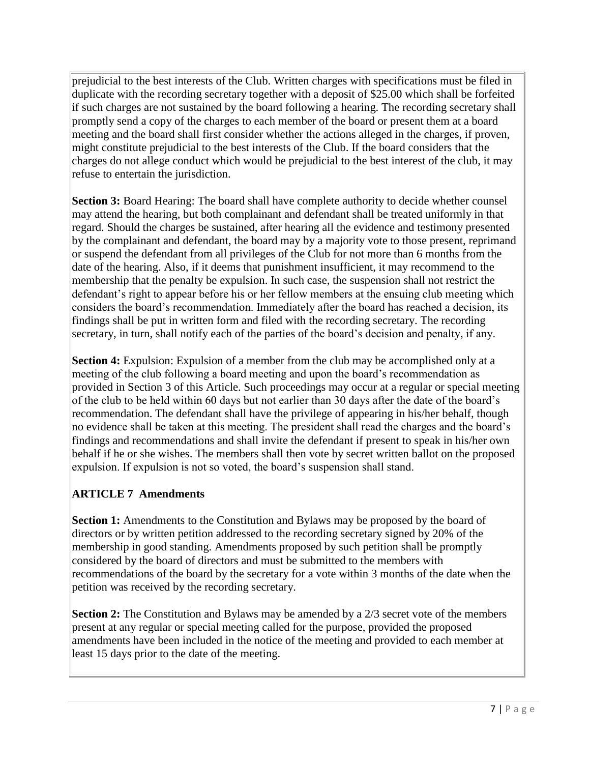prejudicial to the best interests of the Club. Written charges with specifications must be filed in duplicate with the recording secretary together with a deposit of \$25.00 which shall be forfeited if such charges are not sustained by the board following a hearing. The recording secretary shall promptly send a copy of the charges to each member of the board or present them at a board meeting and the board shall first consider whether the actions alleged in the charges, if proven, might constitute prejudicial to the best interests of the Club. If the board considers that the charges do not allege conduct which would be prejudicial to the best interest of the club, it may refuse to entertain the jurisdiction.

**Section 3:** Board Hearing: The board shall have complete authority to decide whether counsel may attend the hearing, but both complainant and defendant shall be treated uniformly in that regard. Should the charges be sustained, after hearing all the evidence and testimony presented by the complainant and defendant, the board may by a majority vote to those present, reprimand or suspend the defendant from all privileges of the Club for not more than 6 months from the date of the hearing. Also, if it deems that punishment insufficient, it may recommend to the membership that the penalty be expulsion. In such case, the suspension shall not restrict the defendant's right to appear before his or her fellow members at the ensuing club meeting which considers the board's recommendation. Immediately after the board has reached a decision, its findings shall be put in written form and filed with the recording secretary. The recording secretary, in turn, shall notify each of the parties of the board's decision and penalty, if any.

**Section 4:** Expulsion: Expulsion of a member from the club may be accomplished only at a meeting of the club following a board meeting and upon the board's recommendation as provided in Section 3 of this Article. Such proceedings may occur at a regular or special meeting of the club to be held within 60 days but not earlier than 30 days after the date of the board's recommendation. The defendant shall have the privilege of appearing in his/her behalf, though no evidence shall be taken at this meeting. The president shall read the charges and the board's findings and recommendations and shall invite the defendant if present to speak in his/her own behalf if he or she wishes. The members shall then vote by secret written ballot on the proposed expulsion. If expulsion is not so voted, the board's suspension shall stand.

### **ARTICLE 7 Amendments**

**Section 1:** Amendments to the Constitution and Bylaws may be proposed by the board of directors or by written petition addressed to the recording secretary signed by 20% of the membership in good standing. Amendments proposed by such petition shall be promptly considered by the board of directors and must be submitted to the members with recommendations of the board by the secretary for a vote within 3 months of the date when the petition was received by the recording secretary.

**Section 2:** The Constitution and Bylaws may be amended by a 2/3 secret vote of the members present at any regular or special meeting called for the purpose, provided the proposed amendments have been included in the notice of the meeting and provided to each member at least 15 days prior to the date of the meeting.